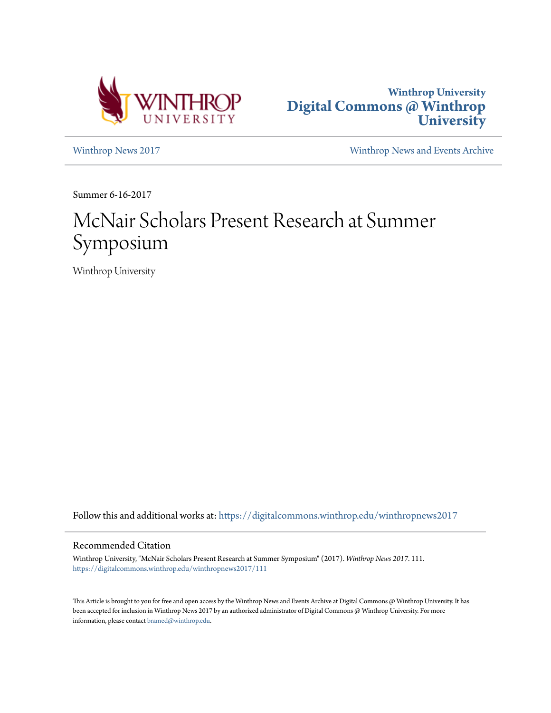



[Winthrop News 2017](https://digitalcommons.winthrop.edu/winthropnews2017?utm_source=digitalcommons.winthrop.edu%2Fwinthropnews2017%2F111&utm_medium=PDF&utm_campaign=PDFCoverPages) [Winthrop News and Events Archive](https://digitalcommons.winthrop.edu/winthropnewsarchives?utm_source=digitalcommons.winthrop.edu%2Fwinthropnews2017%2F111&utm_medium=PDF&utm_campaign=PDFCoverPages)

Summer 6-16-2017

# McNair Scholars Present Research at Summer Symposium

Winthrop University

Follow this and additional works at: [https://digitalcommons.winthrop.edu/winthropnews2017](https://digitalcommons.winthrop.edu/winthropnews2017?utm_source=digitalcommons.winthrop.edu%2Fwinthropnews2017%2F111&utm_medium=PDF&utm_campaign=PDFCoverPages)

### Recommended Citation

Winthrop University, "McNair Scholars Present Research at Summer Symposium" (2017). *Winthrop News 2017*. 111. [https://digitalcommons.winthrop.edu/winthropnews2017/111](https://digitalcommons.winthrop.edu/winthropnews2017/111?utm_source=digitalcommons.winthrop.edu%2Fwinthropnews2017%2F111&utm_medium=PDF&utm_campaign=PDFCoverPages)

This Article is brought to you for free and open access by the Winthrop News and Events Archive at Digital Commons @ Winthrop University. It has been accepted for inclusion in Winthrop News 2017 by an authorized administrator of Digital Commons @ Winthrop University. For more information, please contact [bramed@winthrop.edu](mailto:bramed@winthrop.edu).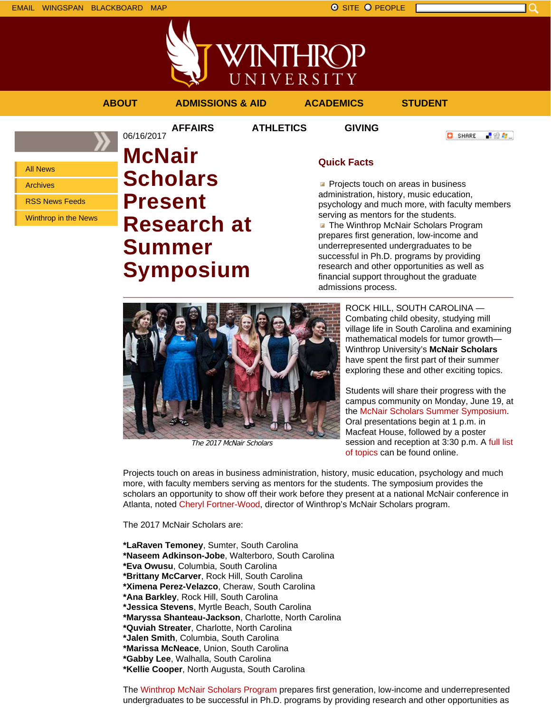EMAIL WINGSPAN BLACKBOARD MAP SITE PEOPLE SAND A SITE PEOPLE



**AFFAIRS ATHLETICS GIVING**

**ABOUT ADMISSIONS & AID ACADEMICS STUDENT**

All News

Archives

RSS News Feeds

Winthrop in the News

## 06/16/2017 **McNair Scholars Present Research at Summer Symposium**



## **Quick Facts**

**Projects touch on areas in business** administration, history, music education, psychology and much more, with faculty members serving as mentors for the students. **The Winthrop McNair Scholars Program** prepares first generation, low-income and underrepresented undergraduates to be successful in Ph.D. programs by providing research and other opportunities as well as financial support throughout the graduate admissions process.



The 2017 McNair Scholars

ROCK HILL, SOUTH CAROLINA — Combating child obesity, studying mill village life in South Carolina and examining mathematical models for tumor growth— Winthrop University's **McNair Scholars** have spent the first part of their summer exploring these and other exciting topics.

Students will share their progress with the campus community on Monday, June 19, at the McNair Scholars Summer Symposium. Oral presentations begin at 1 p.m. in Macfeat House, followed by a poster session and reception at 3:30 p.m. A full list of topics can be found online.

Projects touch on areas in business administration, history, music education, psychology and much more, with faculty members serving as mentors for the students. The symposium provides the scholars an opportunity to show off their work before they present at a national McNair conference in Atlanta, noted Cheryl Fortner-Wood, director of Winthrop's McNair Scholars program.

The 2017 McNair Scholars are:

**\*LaRaven Temoney**, Sumter, South Carolina **\*Naseem Adkinson-Jobe**, Walterboro, South Carolina **\*Eva Owusu**, Columbia, South Carolina **\*Brittany McCarver**, Rock Hill, South Carolina **\*Ximena Perez-Velazco**, Cheraw, South Carolina **\*Ana Barkley**, Rock Hill, South Carolina **\*Jessica Stevens**, Myrtle Beach, South Carolina **\*Maryssa Shanteau-Jackson**, Charlotte, North Carolina **\*Quviah Streater**, Charlotte, North Carolina **\*Jalen Smith**, Columbia, South Carolina **\*Marissa McNeace**, Union, South Carolina **\*Gabby Lee**, Walhalla, South Carolina **\*Kellie Cooper**, North Augusta, South Carolina

The Winthrop McNair Scholars Program prepares first generation, low-income and underrepresented undergraduates to be successful in Ph.D. programs by providing research and other opportunities as